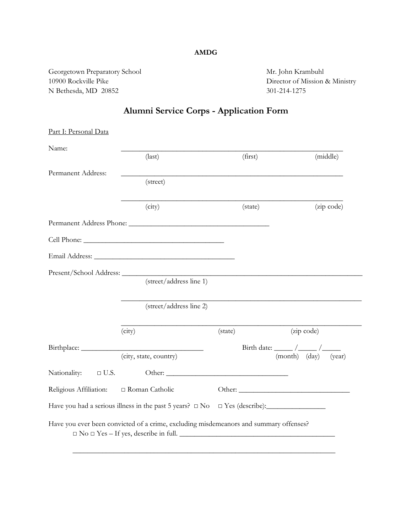## **AMDG**

Georgetown Preparatory School Mr. John Krambuhl 10900 Rockville Pike Director of Mission & Ministry N Bethesda, MD 20852 301-214-1275

## **Alumni Service Corps - Application Form**

| Part I: Personal Data       |                                                                                                                                           |         |                         |
|-----------------------------|-------------------------------------------------------------------------------------------------------------------------------------------|---------|-------------------------|
| Name:                       | $\text{(last)}$                                                                                                                           | (first) | (middle)                |
|                             |                                                                                                                                           |         |                         |
| Permanent Address:          | (street)                                                                                                                                  |         |                         |
|                             | (city)                                                                                                                                    | (state) | (zip code)              |
|                             |                                                                                                                                           |         |                         |
|                             |                                                                                                                                           |         |                         |
|                             |                                                                                                                                           |         |                         |
|                             |                                                                                                                                           |         |                         |
|                             | (street/address line 1)                                                                                                                   |         |                         |
|                             | (street/address line 2)                                                                                                                   |         |                         |
|                             | (city)                                                                                                                                    | (state) | (zip code)              |
|                             |                                                                                                                                           |         |                         |
|                             | (city, state, country)                                                                                                                    |         | (month) (day)<br>(year) |
| Nationality:<br>$\Box$ U.S. |                                                                                                                                           |         |                         |
| Religious Affiliation:      | □ Roman Catholic                                                                                                                          |         |                         |
|                             | Have you had a serious illness in the past 5 years? □ No □ Yes (describe): ________________________                                       |         |                         |
|                             | Have you ever been convicted of a crime, excluding misdemeanors and summary offenses?<br>$\Box$ No $\Box$ Yes – If yes, describe in full. |         |                         |